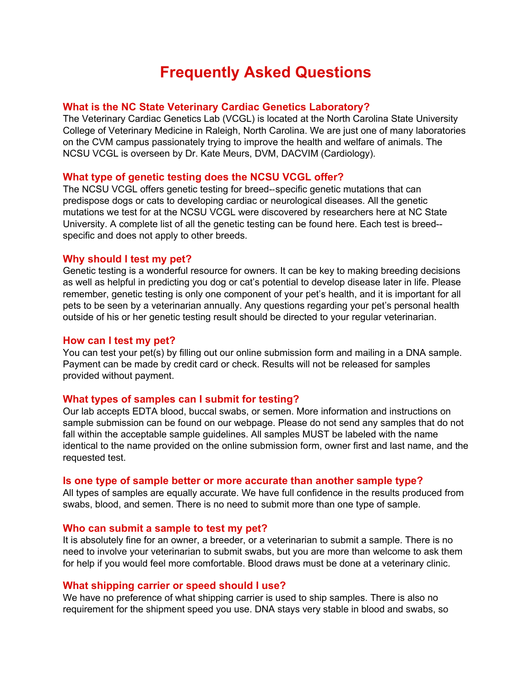# **Frequently Asked Questions**

## **What is the NC State Veterinary Cardiac Genetics Laboratory?**

The Veterinary Cardiac Genetics Lab (VCGL) is located at the North Carolina State University College of Veterinary Medicine in Raleigh, North Carolina. We are just one of many laboratories on the CVM campus passionately trying to improve the health and welfare of animals. The NCSU VCGL is overseen by Dr. Kate Meurs, DVM, DACVIM (Cardiology).

## **What type of genetic testing does the NCSU VCGL offer?**

The NCSU VCGL offers genetic testing for breed--specific genetic mutations that can predispose dogs or cats to developing cardiac or neurological diseases. All the genetic mutations we test for at the NCSU VCGL were discovered by researchers here at NC State University. A complete list of all the genetic testing can be found here. Each test is breed- specific and does not apply to other breeds.

## **Why should I test my pet?**

Genetic testing is a wonderful resource for owners. It can be key to making breeding decisions as well as helpful in predicting you dog or cat's potential to develop disease later in life. Please remember, genetic testing is only one component of your pet's health, and it is important for all pets to be seen by a veterinarian annually. Any questions regarding your pet's personal health outside of his or her genetic testing result should be directed to your regular veterinarian.

## **How can I test my pet?**

You can test your pet(s) by filling out our online submission form and mailing in a DNA sample. Payment can be made by credit card or check. Results will not be released for samples provided without payment.

## **What types of samples can I submit for testing?**

Our lab accepts EDTA blood, buccal swabs, or semen. More information and instructions on sample submission can be found on our webpage. Please do not send any samples that do not fall within the acceptable sample guidelines. All samples MUST be labeled with the name identical to the name provided on the online submission form, owner first and last name, and the requested test.

## **Is one type of sample better or more accurate than another sample type?**

All types of samples are equally accurate. We have full confidence in the results produced from swabs, blood, and semen. There is no need to submit more than one type of sample.

## **Who can submit a sample to test my pet?**

It is absolutely fine for an owner, a breeder, or a veterinarian to submit a sample. There is no need to involve your veterinarian to submit swabs, but you are more than welcome to ask them for help if you would feel more comfortable. Blood draws must be done at a veterinary clinic.

## **What shipping carrier or speed should I use?**

We have no preference of what shipping carrier is used to ship samples. There is also no requirement for the shipment speed you use. DNA stays very stable in blood and swabs, so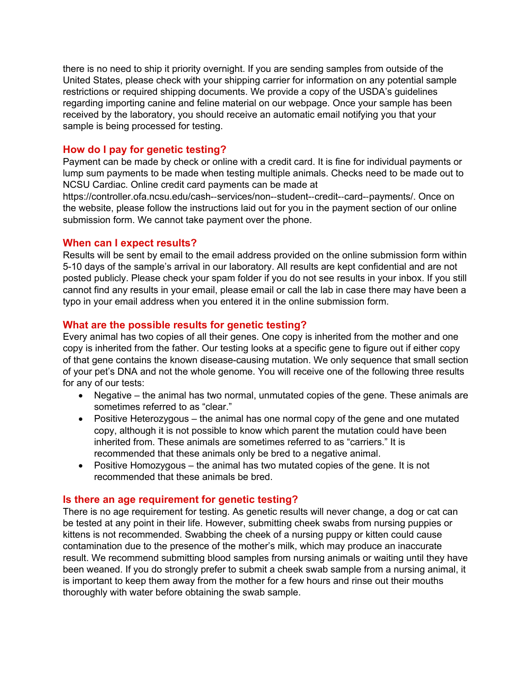there is no need to ship it priority overnight. If you are sending samples from outside of the United States, please check with your shipping carrier for information on any potential sample restrictions or required shipping documents. We provide a copy of the USDA's guidelines regarding importing canine and feline material on our webpage. Once your sample has been received by the laboratory, you should receive an automatic email notifying you that your sample is being processed for testing.

# **How do I pay for genetic testing?**

Payment can be made by check or online with a credit card. It is fine for individual payments or lump sum payments to be made when testing multiple animals. Checks need to be made out to NCSU Cardiac. Online credit card payments can be made at

https://controller.ofa.ncsu.edu/cash--services/non--student--credit--card--payments/. Once on the website, please follow the instructions laid out for you in the payment section of our online submission form. We cannot take payment over the phone.

## **When can I expect results?**

Results will be sent by email to the email address provided on the online submission form within 5-10 days of the sample's arrival in our laboratory. All results are kept confidential and are not posted publicly. Please check your spam folder if you do not see results in your inbox. If you still cannot find any results in your email, please email or call the lab in case there may have been a typo in your email address when you entered it in the online submission form.

# **What are the possible results for genetic testing?**

Every animal has two copies of all their genes. One copy is inherited from the mother and one copy is inherited from the father. Our testing looks at a specific gene to figure out if either copy of that gene contains the known disease-causing mutation. We only sequence that small section of your pet's DNA and not the whole genome. You will receive one of the following three results for any of our tests:

- Negative the animal has two normal, unmutated copies of the gene. These animals are sometimes referred to as "clear."
- Positive Heterozygous the animal has one normal copy of the gene and one mutated copy, although it is not possible to know which parent the mutation could have been inherited from. These animals are sometimes referred to as "carriers." It is recommended that these animals only be bred to a negative animal.
- Positive Homozygous the animal has two mutated copies of the gene. It is not recommended that these animals be bred.

## **Is there an age requirement for genetic testing?**

There is no age requirement for testing. As genetic results will never change, a dog or cat can be tested at any point in their life. However, submitting cheek swabs from nursing puppies or kittens is not recommended. Swabbing the cheek of a nursing puppy or kitten could cause contamination due to the presence of the mother's milk, which may produce an inaccurate result. We recommend submitting blood samples from nursing animals or waiting until they have been weaned. If you do strongly prefer to submit a cheek swab sample from a nursing animal, it is important to keep them away from the mother for a few hours and rinse out their mouths thoroughly with water before obtaining the swab sample.